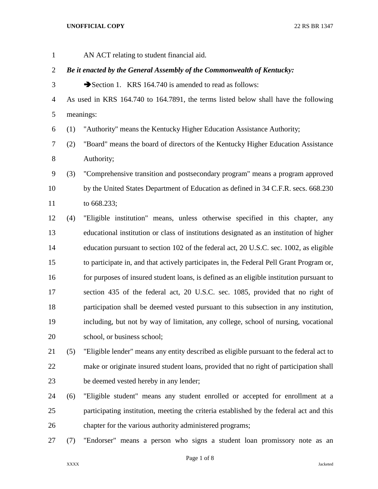AN ACT relating to student financial aid.

### *Be it enacted by the General Assembly of the Commonwealth of Kentucky:*

- 3 Section 1. KRS 164.740 is amended to read as follows:
- As used in KRS 164.740 to 164.7891, the terms listed below shall have the following meanings:
- (1) "Authority" means the Kentucky Higher Education Assistance Authority;
- (2) "Board" means the board of directors of the Kentucky Higher Education Assistance Authority;
- (3) "Comprehensive transition and postsecondary program" means a program approved by the United States Department of Education as defined in 34 C.F.R. secs. 668.230 to 668.233;
- (4) "Eligible institution" means, unless otherwise specified in this chapter, any educational institution or class of institutions designated as an institution of higher education pursuant to section 102 of the federal act, 20 U.S.C. sec. 1002, as eligible to participate in, and that actively participates in, the Federal Pell Grant Program or, for purposes of insured student loans, is defined as an eligible institution pursuant to section 435 of the federal act, 20 U.S.C. sec. 1085, provided that no right of participation shall be deemed vested pursuant to this subsection in any institution, including, but not by way of limitation, any college, school of nursing, vocational school, or business school;
- (5) "Eligible lender" means any entity described as eligible pursuant to the federal act to make or originate insured student loans, provided that no right of participation shall be deemed vested hereby in any lender;
- (6) "Eligible student" means any student enrolled or accepted for enrollment at a participating institution, meeting the criteria established by the federal act and this chapter for the various authority administered programs;
- (7) "Endorser" means a person who signs a student loan promissory note as an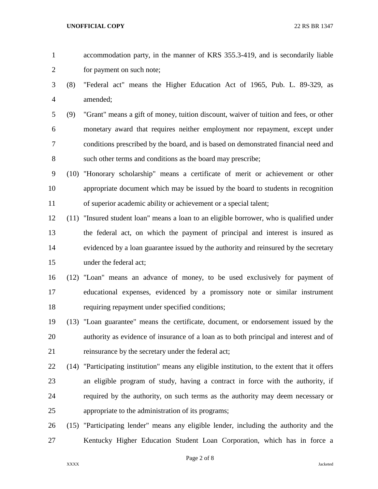| accommodation party, in the manner of KRS 355.3-419, and is secondarily liable |
|--------------------------------------------------------------------------------|
| for payment on such note;                                                      |

- (8) "Federal act" means the Higher Education Act of 1965, Pub. L. 89-329, as amended;
- (9) "Grant" means a gift of money, tuition discount, waiver of tuition and fees, or other monetary award that requires neither employment nor repayment, except under conditions prescribed by the board, and is based on demonstrated financial need and such other terms and conditions as the board may prescribe;
- (10) "Honorary scholarship" means a certificate of merit or achievement or other appropriate document which may be issued by the board to students in recognition of superior academic ability or achievement or a special talent;
- (11) "Insured student loan" means a loan to an eligible borrower, who is qualified under the federal act, on which the payment of principal and interest is insured as evidenced by a loan guarantee issued by the authority and reinsured by the secretary under the federal act;
- (12) "Loan" means an advance of money, to be used exclusively for payment of educational expenses, evidenced by a promissory note or similar instrument requiring repayment under specified conditions;
- (13) "Loan guarantee" means the certificate, document, or endorsement issued by the authority as evidence of insurance of a loan as to both principal and interest and of reinsurance by the secretary under the federal act;
- (14) "Participating institution" means any eligible institution, to the extent that it offers an eligible program of study, having a contract in force with the authority, if required by the authority, on such terms as the authority may deem necessary or appropriate to the administration of its programs;
- (15) "Participating lender" means any eligible lender, including the authority and the Kentucky Higher Education Student Loan Corporation, which has in force a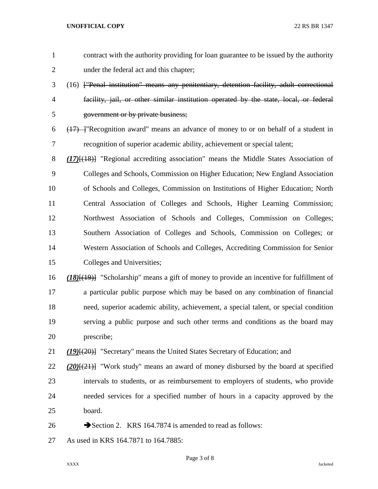| $\mathbf{1}$   | contract with the authority providing for loan guarantee to be issued by the authority           |
|----------------|--------------------------------------------------------------------------------------------------|
| $\overline{2}$ | under the federal act and this chapter;                                                          |
| 3              | (16) ["Penal institution" means any penitentiary, detention facility, adult correctional         |
| $\overline{4}$ | facility, jail, or other similar institution operated by the state, local, or federal            |
| 5              | government or by private business;                                                               |
| 6              | $(17)$ - "Recognition award" means an advance of money to or on behalf of a student in           |
| 7              | recognition of superior academic ability, achievement or special talent;                         |
| 8              | $(17)$ [ $(18)$ ] "Regional accrediting association" means the Middle States Association of      |
| 9              | Colleges and Schools, Commission on Higher Education; New England Association                    |
| 10             | of Schools and Colleges, Commission on Institutions of Higher Education; North                   |
| 11             | Central Association of Colleges and Schools, Higher Learning Commission;                         |
| 12             | Northwest Association of Schools and Colleges, Commission on Colleges;                           |
| 13             | Southern Association of Colleges and Schools, Commission on Colleges; or                         |
| 14             | Western Association of Schools and Colleges, Accrediting Commission for Senior                   |
| 15             | Colleges and Universities;                                                                       |
| 16             | $(18)(19)$ "Scholarship" means a gift of money to provide an incentive for fulfillment of        |
| 17             | a particular public purpose which may be based on any combination of financial                   |
| 18             | need, superior academic ability, achievement, a special talent, or special condition             |
| 19             | serving a public purpose and such other terms and conditions as the board may                    |
| 20             | prescribe;                                                                                       |
| 21             | (19) <sup>[(20)</sup> ] "Secretary" means the United States Secretary of Education; and          |
| 22             | (20) <sup>[(21)</sup> ] "Work study" means an award of money disbursed by the board at specified |
| 23             | intervals to students, or as reimbursement to employers of students, who provide                 |
| 24             | needed services for a specified number of hours in a capacity approved by the                    |
| 25             | board.                                                                                           |
| 26             | Section 2. KRS 164.7874 is amended to read as follows:                                           |
| 27             | As used in KRS 164.7871 to 164.7885:                                                             |

Page 3 of 8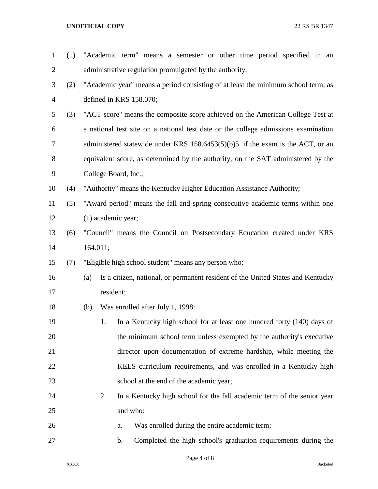| $\mathbf{1}$   | (1) |                      | "Academic term" means a semester or other time period specified in an              |
|----------------|-----|----------------------|------------------------------------------------------------------------------------|
| 2              |     |                      | administrative regulation promulgated by the authority;                            |
| 3              | (2) |                      | "Academic year" means a period consisting of at least the minimum school term, as  |
| $\overline{4}$ |     |                      | defined in KRS 158.070;                                                            |
| 5              | (3) |                      | "ACT score" means the composite score achieved on the American College Test at     |
| 6              |     |                      | a national test site on a national test date or the college admissions examination |
| 7              |     |                      | administered statewide under KRS $158.6453(5)(b)5$ . if the exam is the ACT, or an |
| 8              |     |                      | equivalent score, as determined by the authority, on the SAT administered by the   |
| 9              |     |                      | College Board, Inc.;                                                               |
| 10             | (4) |                      | "Authority" means the Kentucky Higher Education Assistance Authority;              |
| 11             | (5) |                      | "Award period" means the fall and spring consecutive academic terms within one     |
| 12             |     | $(1)$ academic year; |                                                                                    |
| 13             | (6) |                      | "Council" means the Council on Postsecondary Education created under KRS           |
| 14             |     | 164.011;             |                                                                                    |
| 15             | (7) |                      | "Eligible high school student" means any person who:                               |
| 16             |     | (a)                  | Is a citizen, national, or permanent resident of the United States and Kentucky    |
| 17             |     | resident;            |                                                                                    |
| 18             |     | (b)                  | Was enrolled after July 1, 1998:                                                   |
| 19             |     | 1.                   | In a Kentucky high school for at least one hundred forty (140) days of             |
| 20             |     |                      | the minimum school term unless exempted by the authority's executive               |
| 21             |     |                      | director upon documentation of extreme hardship, while meeting the                 |
| 22             |     |                      | KEES curriculum requirements, and was enrolled in a Kentucky high                  |
| 23             |     |                      | school at the end of the academic year;                                            |
| 24             |     | 2.                   | In a Kentucky high school for the fall academic term of the senior year            |
| 25             |     |                      | and who:                                                                           |
| 26             |     |                      | Was enrolled during the entire academic term;<br>a.                                |
| 27             |     |                      | Completed the high school's graduation requirements during the<br>b.               |

Page 4 of 8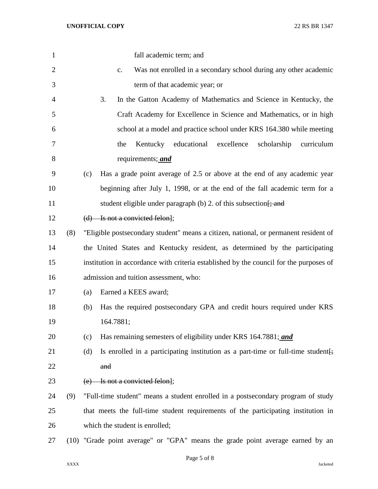| $\mathbf{1}$   |     | fall academic term; and                                                                               |
|----------------|-----|-------------------------------------------------------------------------------------------------------|
| $\overline{2}$ |     | Was not enrolled in a secondary school during any other academic<br>$C_{\bullet}$                     |
| 3              |     | term of that academic year; or                                                                        |
| 4              |     | 3.<br>In the Gatton Academy of Mathematics and Science in Kentucky, the                               |
| 5              |     | Craft Academy for Excellence in Science and Mathematics, or in high                                   |
| 6              |     | school at a model and practice school under KRS 164.380 while meeting                                 |
| 7              |     | Kentucky educational<br>excellence<br>scholarship<br>curriculum<br>the                                |
| 8              |     | requirements; and                                                                                     |
| 9              |     | Has a grade point average of 2.5 or above at the end of any academic year<br>(c)                      |
| 10             |     | beginning after July 1, 1998, or at the end of the fall academic term for a                           |
| 11             |     | student eligible under paragraph $(b)$ 2. of this subsection $\frac{1}{2}$ and                        |
| 12             |     | $(d)$ Is not a convicted felon];                                                                      |
| 13             | (8) | "Eligible postsecondary student" means a citizen, national, or permanent resident of                  |
| 14             |     | the United States and Kentucky resident, as determined by the participating                           |
| 15             |     | institution in accordance with criteria established by the council for the purposes of                |
| 16             |     | admission and tuition assessment, who:                                                                |
| 17             |     | Earned a KEES award;<br>(a)                                                                           |
| 18             |     | Has the required postsecondary GPA and credit hours required under KRS<br>(b)                         |
| 19             |     | 164.7881;                                                                                             |
| 20             |     | Has remaining semesters of eligibility under KRS 164.7881; and<br>(c)                                 |
| 21             |     | Is enrolled in a participating institution as a part-time or full-time student $\frac{1}{2}$ .<br>(d) |
| 22             |     | and                                                                                                   |
| 23             |     | (e) Is not a convicted felon];                                                                        |
| 24             | (9) | "Full-time student" means a student enrolled in a postsecondary program of study                      |
| 25             |     | that meets the full-time student requirements of the participating institution in                     |
| 26             |     | which the student is enrolled;                                                                        |
| 27             |     | (10) "Grade point average" or "GPA" means the grade point average earned by an                        |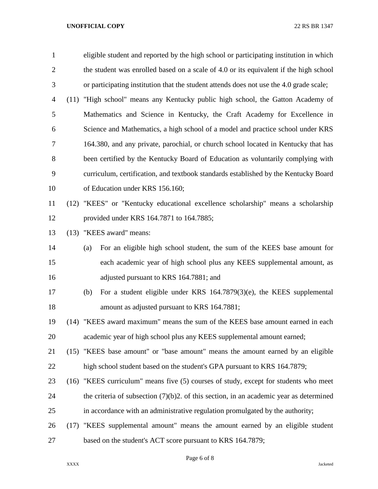| $\mathbf{1}$   |      | eligible student and reported by the high school or participating institution in which    |
|----------------|------|-------------------------------------------------------------------------------------------|
| $\overline{c}$ |      | the student was enrolled based on a scale of 4.0 or its equivalent if the high school     |
| 3              |      | or participating institution that the student attends does not use the 4.0 grade scale;   |
| 4              | (11) | "High school" means any Kentucky public high school, the Gatton Academy of                |
| 5              |      | Mathematics and Science in Kentucky, the Craft Academy for Excellence in                  |
| 6              |      | Science and Mathematics, a high school of a model and practice school under KRS           |
| 7              |      | 164.380, and any private, parochial, or church school located in Kentucky that has        |
| 8              |      | been certified by the Kentucky Board of Education as voluntarily complying with           |
| 9              |      | curriculum, certification, and textbook standards established by the Kentucky Board       |
| 10             |      | of Education under KRS 156.160;                                                           |
| 11             |      | (12) "KEES" or "Kentucky educational excellence scholarship" means a scholarship          |
| 12             |      | provided under KRS 164.7871 to 164.7885;                                                  |
| 13             |      | (13) "KEES award" means:                                                                  |
| 14             |      | For an eligible high school student, the sum of the KEES base amount for<br>(a)           |
| 15             |      | each academic year of high school plus any KEES supplemental amount, as                   |
| 16             |      | adjusted pursuant to KRS 164.7881; and                                                    |
| 17             |      | For a student eligible under KRS $164.7879(3)(e)$ , the KEES supplemental<br>(b)          |
| 18             |      | amount as adjusted pursuant to KRS 164.7881;                                              |
| 19             |      | (14) "KEES award maximum" means the sum of the KEES base amount earned in each            |
| 20             |      | academic year of high school plus any KEES supplemental amount earned;                    |
| 21             |      | (15) "KEES base amount" or "base amount" means the amount earned by an eligible           |
| 22             |      | high school student based on the student's GPA pursuant to KRS 164.7879;                  |
| 23             |      | (16) "KEES curriculum" means five (5) courses of study, except for students who meet      |
| 24             |      | the criteria of subsection $(7)(b)2$ . of this section, in an academic year as determined |
| 25             |      | in accordance with an administrative regulation promulgated by the authority;             |
| 26             |      | (17) "KEES supplemental amount" means the amount earned by an eligible student            |
| 27             |      | based on the student's ACT score pursuant to KRS 164.7879;                                |

Page 6 of 8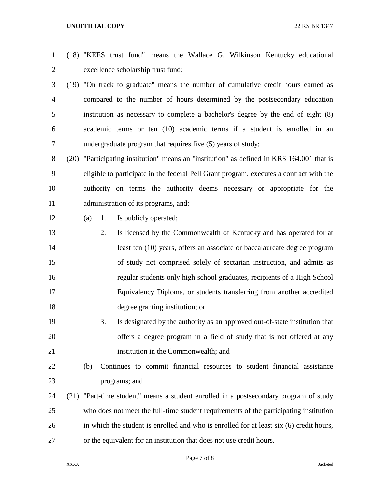- (18) "KEES trust fund" means the Wallace G. Wilkinson Kentucky educational excellence scholarship trust fund;
- (19) "On track to graduate" means the number of cumulative credit hours earned as compared to the number of hours determined by the postsecondary education institution as necessary to complete a bachelor's degree by the end of eight (8) academic terms or ten (10) academic terms if a student is enrolled in an undergraduate program that requires five (5) years of study;

 (20) "Participating institution" means an "institution" as defined in KRS 164.001 that is eligible to participate in the federal Pell Grant program, executes a contract with the authority on terms the authority deems necessary or appropriate for the administration of its programs, and:

## (a) 1. Is publicly operated;

- 2. Is licensed by the Commonwealth of Kentucky and has operated for at least ten (10) years, offers an associate or baccalaureate degree program of study not comprised solely of sectarian instruction, and admits as regular students only high school graduates, recipients of a High School Equivalency Diploma, or students transferring from another accredited degree granting institution; or
- 3. Is designated by the authority as an approved out-of-state institution that offers a degree program in a field of study that is not offered at any institution in the Commonwealth; and
- (b) Continues to commit financial resources to student financial assistance programs; and
- (21) "Part-time student" means a student enrolled in a postsecondary program of study who does not meet the full-time student requirements of the participating institution in which the student is enrolled and who is enrolled for at least six (6) credit hours, or the equivalent for an institution that does not use credit hours.